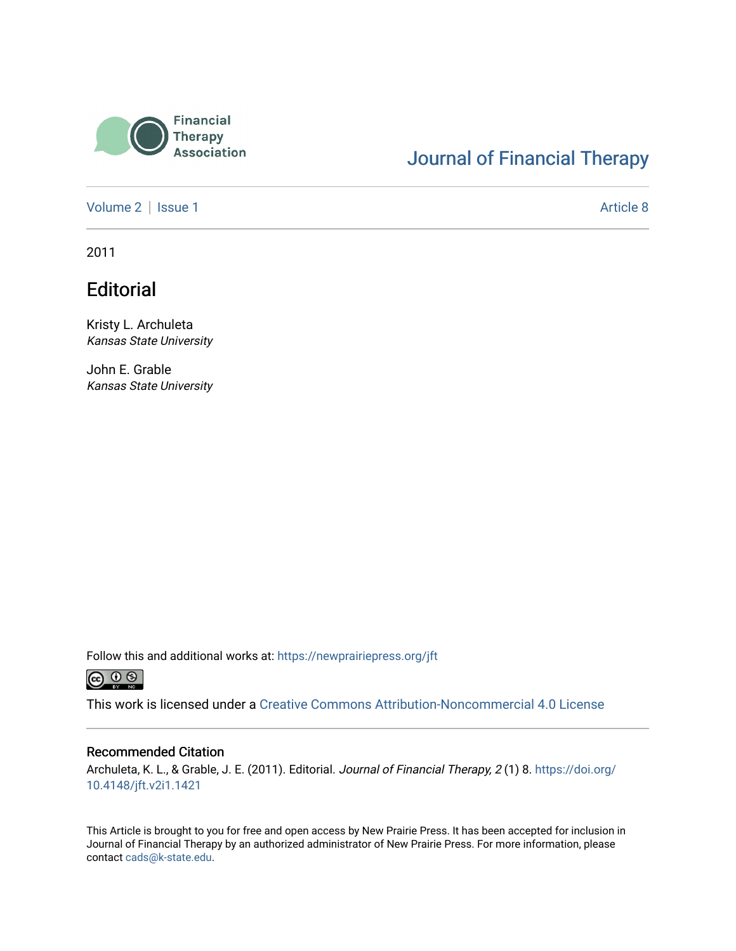

## [Journal of Financial Therapy](https://newprairiepress.org/jft)

[Volume 2](https://newprairiepress.org/jft/vol2) | [Issue 1](https://newprairiepress.org/jft/vol2/iss1) Article 8

2011

### **Editorial**

Kristy L. Archuleta Kansas State University

John E. Grable Kansas State University

Follow this and additional works at: [https://newprairiepress.org/jft](https://newprairiepress.org/jft?utm_source=newprairiepress.org%2Fjft%2Fvol2%2Fiss1%2F8&utm_medium=PDF&utm_campaign=PDFCoverPages)



This work is licensed under a [Creative Commons Attribution-Noncommercial 4.0 License](https://creativecommons.org/licenses/by-nc/4.0/)

#### Recommended Citation

Archuleta, K. L., & Grable, J. E. (2011). Editorial. Journal of Financial Therapy, 2 (1) 8. [https://doi.org/](https://doi.org/10.4148/jft.v2i1.1421) [10.4148/jft.v2i1.1421](https://doi.org/10.4148/jft.v2i1.1421) 

This Article is brought to you for free and open access by New Prairie Press. It has been accepted for inclusion in Journal of Financial Therapy by an authorized administrator of New Prairie Press. For more information, please contact [cads@k-state.edu](mailto:cads@k-state.edu).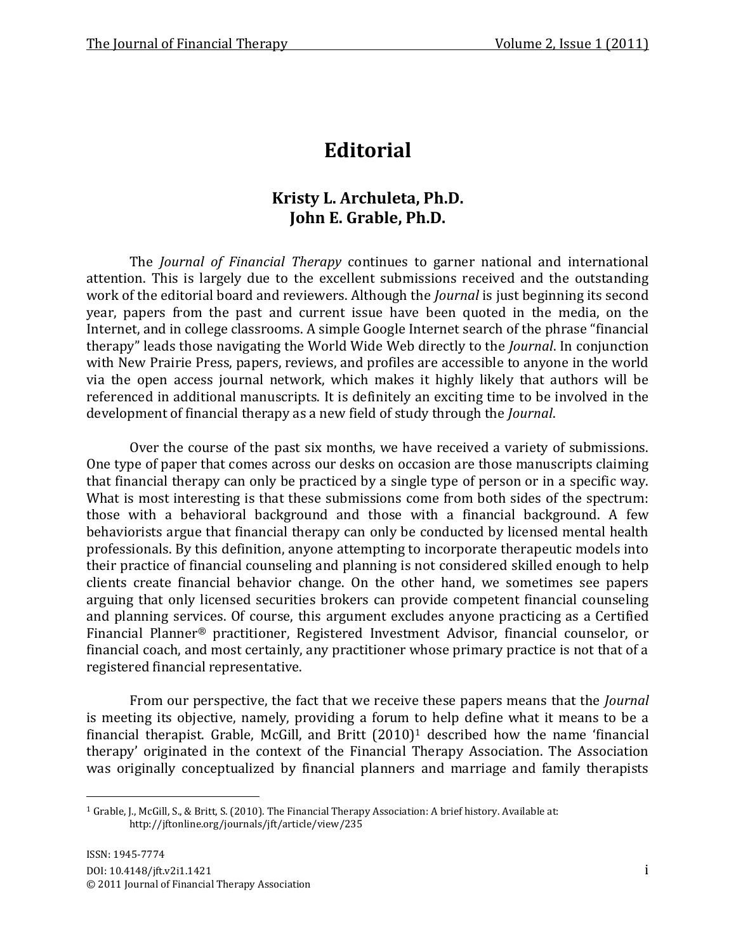# **Editorial**

### **Kristy L. Archuleta, Ph.D. John E. Grable, Ph.D.**

The *Journal of Financial Therapy* continues to garner national and international attention. This is largely due to the excellent submissions received and the outstanding work of the editorial board and reviewers. Although the *Journal* is just beginning its second year, papers from the past and current issue have been quoted in the media, on the Internet, and in college classrooms. A simple Google Internet search of the phrase "financial therapy" leads those navigating the World Wide Web directly to the *Journal*. In conjunction with New Prairie Press, papers, reviews, and profiles are accessible to anyone in the world via the open access journal network, which makes it highly likely that authors will be referenced in additional manuscripts. It is definitely an exciting time to be involved in the development of financial therapy as a new field of study through the *Journal*.

Over the course of the past six months, we have received a variety of submissions. One type of paper that comes across our desks on occasion are those manuscripts claiming that financial therapy can only be practiced by a single type of person or in a specific way. What is most interesting is that these submissions come from both sides of the spectrum: those with a behavioral background and those with a financial background. A few behaviorists argue that financial therapy can only be conducted by licensed mental health professionals. By this definition, anyone attempting to incorporate therapeutic models into their practice of financial counseling and planning is not considered skilled enough to help clients create financial behavior change. On the other hand, we sometimes see papers arguing that only licensed securities brokers can provide competent financial counseling and planning services. Of course, this argument excludes anyone practicing as a Certified Financial Planner® practitioner, Registered Investment Advisor, financial counselor, or financial coach, and most certainly, any practitioner whose primary practice is not that of a registered financial representative.

From our perspective, the fact that we receive these papers means that the *Journal* is meeting its objective, namely, providing a forum to help define what it means to be a financial therapist. Grable, McGill, and Britt (2010)<sup>1</sup> described how the name 'financial therapy' originated in the context of the Financial Therapy Association. The Association was originally conceptualized by financial planners and marriage and family therapists

 $\overline{a}$ 

<sup>1</sup> Grable, J., McGill, S., & Britt, S. (2010). The Financial Therapy Association: A brief history. Available at: http://jftonline.org/journals/jft/article/view/235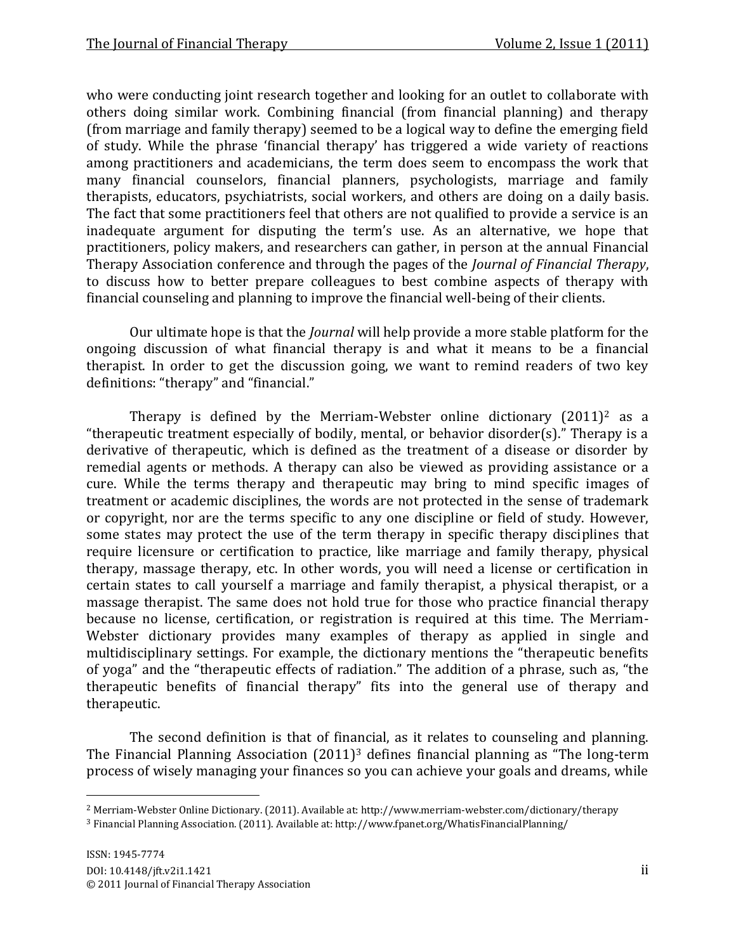who were conducting joint research together and looking for an outlet to collaborate with others doing similar work. Combining financial (from financial planning) and therapy (from marriage and family therapy) seemed to be a logical way to define the emerging field of study. While the phrase 'financial therapy' has triggered a wide variety of reactions among practitioners and academicians, the term does seem to encompass the work that many financial counselors, financial planners, psychologists, marriage and family therapists, educators, psychiatrists, social workers, and others are doing on a daily basis. The fact that some practitioners feel that others are not qualified to provide a service is an inadequate argument for disputing the term's use. As an alternative, we hope that practitioners, policy makers, and researchers can gather, in person at the annual Financial Therapy Association conference and through the pages of the *Journal of Financial Therapy*, to discuss how to better prepare colleagues to best combine aspects of therapy with financial counseling and planning to improve the financial well-being of their clients.

Our ultimate hope is that the *Journal* will help provide a more stable platform for the ongoing discussion of what financial therapy is and what it means to be a financial therapist. In order to get the discussion going, we want to remind readers of two key definitions: "therapy" and "financial."

Therapy is defined by the Merriam-Webster online dictionary  $(2011)^2$  as a "therapeutic treatment especially of bodily, mental, or behavior disorder(s)." Therapy is a derivative of therapeutic, which is defined as the treatment of a disease or disorder by remedial agents or methods. A therapy can also be viewed as providing assistance or a cure. While the terms therapy and therapeutic may bring to mind specific images of treatment or academic disciplines, the words are not protected in the sense of trademark or copyright, nor are the terms specific to any one discipline or field of study. However, some states may protect the use of the term therapy in specific therapy disciplines that require licensure or certification to practice, like marriage and family therapy, physical therapy, massage therapy, etc. In other words, you will need a license or certification in certain states to call yourself a marriage and family therapist, a physical therapist, or a massage therapist. The same does not hold true for those who practice financial therapy because no license, certification, or registration is required at this time. The Merriam-Webster dictionary provides many examples of therapy as applied in single and multidisciplinary settings. For example, the dictionary mentions the "therapeutic benefits of yoga" and the "therapeutic effects of radiation." The addition of a phrase, such as, "the therapeutic benefits of financial therapy" fits into the general use of therapy and therapeutic.

The second definition is that of financial, as it relates to counseling and planning. The Financial Planning Association  $(2011)^3$  defines financial planning as "The long-term process of wisely managing your finances so you can achieve your goals and dreams, while

 $\overline{a}$ 

<sup>2</sup> Merriam-Webster Online Dictionary. (2011). Available at: http://www.merriam-webster.com/dictionary/therapy

<sup>3</sup> Financial Planning Association. (2011). Available at: http://www.fpanet.org/WhatisFinancialPlanning/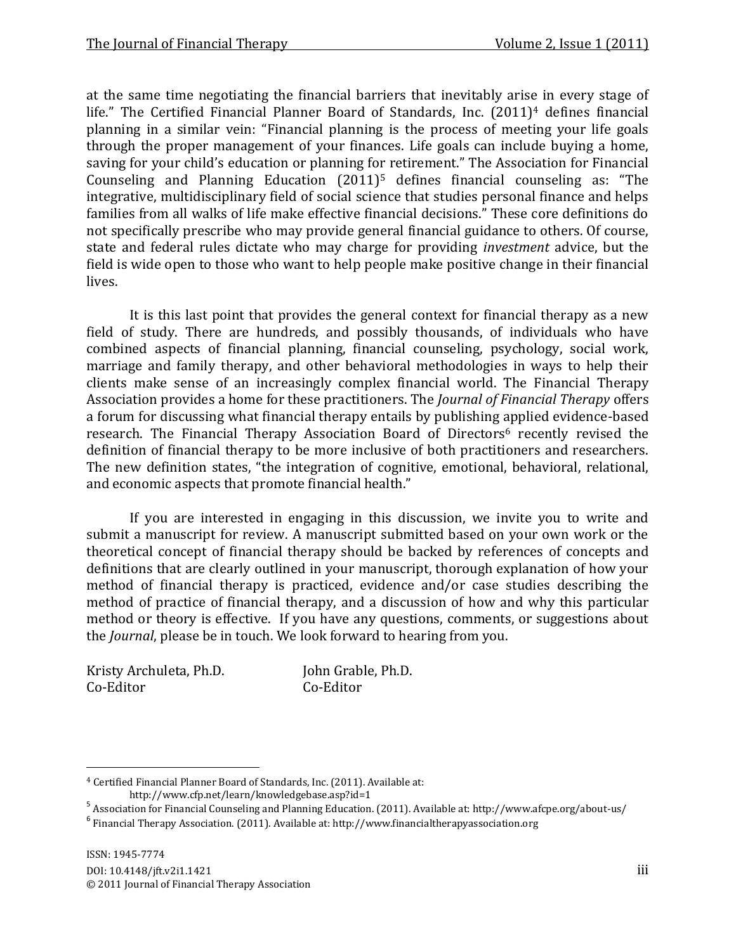at the same time negotiating the financial barriers that inevitably arise in every stage of life." The Certified Financial Planner Board of Standards, Inc. (2011)<sup>4</sup> defines financial planning in a similar vein: "Financial planning is the process of meeting your life goals through the proper management of your finances. Life goals can include buying a home, saving for your child's education or planning for retirement." The Association for Financial Counseling and Planning Education  $(2011)^5$  defines financial counseling as: "The integrative, multidisciplinary field of social science that studies personal finance and helps families from all walks of life make effective financial decisions." These core definitions do not specifically prescribe who may provide general financial guidance to others. Of course, state and federal rules dictate who may charge for providing *investment* advice, but the field is wide open to those who want to help people make positive change in their financial lives.

It is this last point that provides the general context for financial therapy as a new field of study. There are hundreds, and possibly thousands, of individuals who have combined aspects of financial planning, financial counseling, psychology, social work, marriage and family therapy, and other behavioral methodologies in ways to help their clients make sense of an increasingly complex financial world. The Financial Therapy Association provides a home for these practitioners. The *Journal of Financial Therapy* offers a forum for discussing what financial therapy entails by publishing applied evidence-based research. The Financial Therapy Association Board of Directors<sup>6</sup> recently revised the definition of financial therapy to be more inclusive of both practitioners and researchers. The new definition states, "the integration of cognitive, emotional, behavioral, relational, and economic aspects that promote financial health."

If you are interested in engaging in this discussion, we invite you to write and submit a manuscript for review. A manuscript submitted based on your own work or the theoretical concept of financial therapy should be backed by references of concepts and definitions that are clearly outlined in your manuscript, thorough explanation of how your method of financial therapy is practiced, evidence and/or case studies describing the method of practice of financial therapy, and a discussion of how and why this particular method or theory is effective. If you have any questions, comments, or suggestions about the *Journal*, please be in touch. We look forward to hearing from you.

| Kristy Archuleta, Ph.D. |  |
|-------------------------|--|
| Co-Editor               |  |

 $\overline{a}$ 

John Grable, Ph.D. Co-Editor

<sup>4</sup> Certified Financial Planner Board of Standards, Inc. (2011). Available at:

http://www.cfp.net/learn/knowledgebase.asp?id=1

<sup>&</sup>lt;sup>5</sup> Association for Financial Counseling and Planning Education. (2011). Available at: http://www.afcpe.org/about-us/

 $^6$  Financial Therapy Association. (2011). Available at: http://www.financialtherapyassociation.org